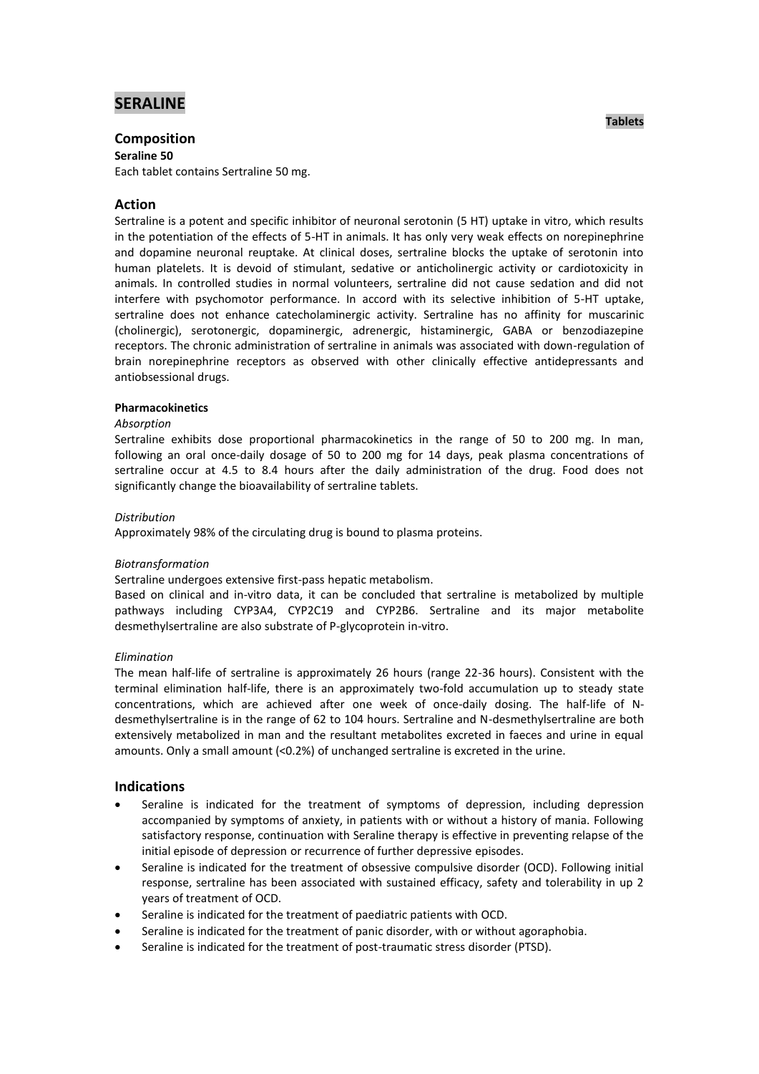# **SERALINE**

## **Composition**

**Seraline 50** 

Each tablet contains Sertraline 50 mg.

## **Action**

Sertraline is a potent and specific inhibitor of neuronal serotonin (5 HT) uptake in vitro, which results in the potentiation of the effects of 5-HT in animals. It has only very weak effects on norepinephrine and dopamine neuronal reuptake. At clinical doses, sertraline blocks the uptake of serotonin into human platelets. It is devoid of stimulant, sedative or anticholinergic activity or cardiotoxicity in animals. In controlled studies in normal volunteers, sertraline did not cause sedation and did not interfere with psychomotor performance. In accord with its selective inhibition of 5-HT uptake, sertraline does not enhance catecholaminergic activity. Sertraline has no affinity for muscarinic (cholinergic), serotonergic, dopaminergic, adrenergic, histaminergic, GABA or benzodiazepine receptors. The chronic administration of sertraline in animals was associated with down-regulation of brain norepinephrine receptors as observed with other clinically effective antidepressants and antiobsessional drugs.

## **Pharmacokinetics**

#### *Absorption*

Sertraline exhibits dose proportional pharmacokinetics in the range of 50 to 200 mg. In man, following an oral once-daily dosage of 50 to 200 mg for 14 days, peak plasma concentrations of sertraline occur at 4.5 to 8.4 hours after the daily administration of the drug. Food does not significantly change the bioavailability of sertraline tablets.

### *Distribution*

Approximately 98% of the circulating drug is bound to plasma proteins.

## *Biotransformation*

Sertraline undergoes extensive first-pass hepatic metabolism.

Based on clinical and in-vitro data, it can be concluded that sertraline is metabolized by multiple pathways including CYP3A4, CYP2C19 and CYP2B6. Sertraline and its major metabolite desmethylsertraline are also substrate of P-glycoprotein in-vitro.

#### *Elimination*

The mean half-life of sertraline is approximately 26 hours (range 22-36 hours). Consistent with the terminal elimination half-life, there is an approximately two-fold accumulation up to steady state concentrations, which are achieved after one week of once-daily dosing. The half-life of Ndesmethylsertraline is in the range of 62 to 104 hours. Sertraline and N-desmethylsertraline are both extensively metabolized in man and the resultant metabolites excreted in faeces and urine in equal amounts. Only a small amount (<0.2%) of unchanged sertraline is excreted in the urine.

## **Indications**

- Seraline is indicated for the treatment of symptoms of depression, including depression accompanied by symptoms of anxiety, in patients with or without a history of mania. Following satisfactory response, continuation with Seraline therapy is effective in preventing relapse of the initial episode of depression or recurrence of further depressive episodes.
- Seraline is indicated for the treatment of obsessive compulsive disorder (OCD). Following initial response, sertraline has been associated with sustained efficacy, safety and tolerability in up 2 years of treatment of OCD.
- Seraline is indicated for the treatment of paediatric patients with OCD.
- Seraline is indicated for the treatment of panic disorder, with or without agoraphobia.
- Seraline is indicated for the treatment of post-traumatic stress disorder (PTSD).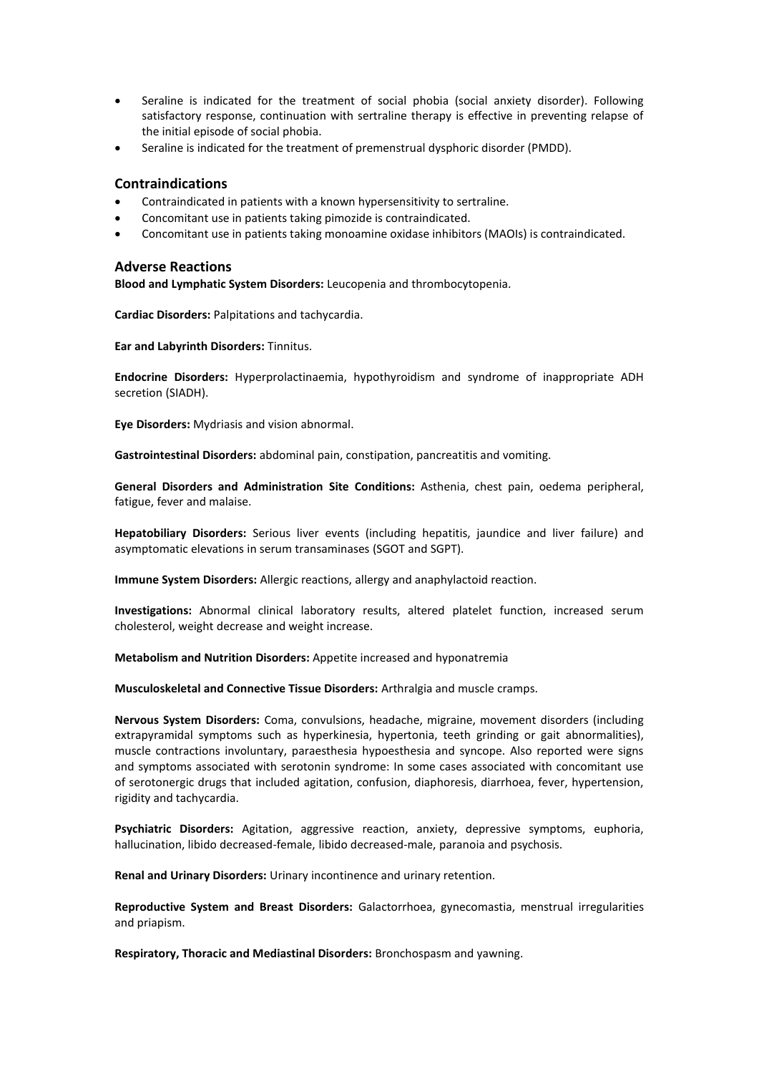- Seraline is indicated for the treatment of social phobia (social anxiety disorder). Following satisfactory response, continuation with sertraline therapy is effective in preventing relapse of the initial episode of social phobia.
- Seraline is indicated for the treatment of premenstrual dysphoric disorder (PMDD).

## **Contraindications**

- Contraindicated in patients with a known hypersensitivity to sertraline.
- Concomitant use in patients taking pimozide is contraindicated.
- Concomitant use in patients taking monoamine oxidase inhibitors (MAOIs) is contraindicated.

## **Adverse Reactions**

**Blood and Lymphatic System Disorders:** Leucopenia and thrombocytopenia.

**Cardiac Disorders:** Palpitations and tachycardia.

**Ear and Labyrinth Disorders:** Tinnitus.

**Endocrine Disorders:** Hyperprolactinaemia, hypothyroidism and syndrome of inappropriate ADH secretion (SIADH).

**Eye Disorders:** Mydriasis and vision abnormal.

**Gastrointestinal Disorders:** abdominal pain, constipation, pancreatitis and vomiting.

**General Disorders and Administration Site Conditions:** Asthenia, chest pain, oedema peripheral, fatigue, fever and malaise.

**Hepatobiliary Disorders:** Serious liver events (including hepatitis, jaundice and liver failure) and asymptomatic elevations in serum transaminases (SGOT and SGPT).

**Immune System Disorders:** Allergic reactions, allergy and anaphylactoid reaction.

**Investigations:** Abnormal clinical laboratory results, altered platelet function, increased serum cholesterol, weight decrease and weight increase.

**Metabolism and Nutrition Disorders:** Appetite increased and hyponatremia

**Musculoskeletal and Connective Tissue Disorders:** Arthralgia and muscle cramps.

**Nervous System Disorders:** Coma, convulsions, headache, migraine, movement disorders (including extrapyramidal symptoms such as hyperkinesia, hypertonia, teeth grinding or gait abnormalities), muscle contractions involuntary, paraesthesia hypoesthesia and syncope. Also reported were signs and symptoms associated with serotonin syndrome: In some cases associated with concomitant use of serotonergic drugs that included agitation, confusion, diaphoresis, diarrhoea, fever, hypertension, rigidity and tachycardia.

**Psychiatric Disorders:** Agitation, aggressive reaction, anxiety, depressive symptoms, euphoria, hallucination, libido decreased-female, libido decreased-male, paranoia and psychosis.

**Renal and Urinary Disorders:** Urinary incontinence and urinary retention.

**Reproductive System and Breast Disorders:** Galactorrhoea, gynecomastia, menstrual irregularities and priapism.

**Respiratory, Thoracic and Mediastinal Disorders:** Bronchospasm and yawning.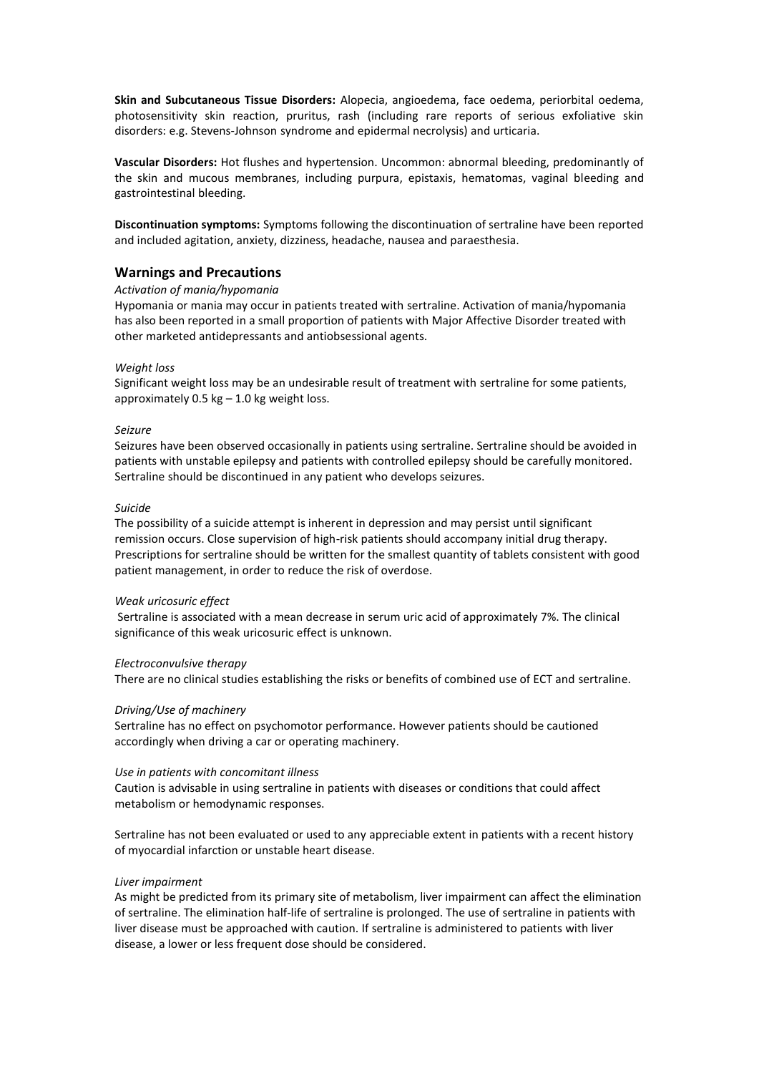**Skin and Subcutaneous Tissue Disorders:** Alopecia, angioedema, face oedema, periorbital oedema, photosensitivity skin reaction, pruritus, rash (including rare reports of serious exfoliative skin disorders: e.g. Stevens-Johnson syndrome and epidermal necrolysis) and urticaria.

**Vascular Disorders:** Hot flushes and hypertension. Uncommon: abnormal bleeding, predominantly of the skin and mucous membranes, including purpura, epistaxis, hematomas, vaginal bleeding and gastrointestinal bleeding.

**Discontinuation symptoms:** Symptoms following the discontinuation of sertraline have been reported and included agitation, anxiety, dizziness, headache, nausea and paraesthesia.

## **Warnings and Precautions**

### *Activation of mania/hypomania*

Hypomania or mania may occur in patients treated with sertraline. Activation of mania/hypomania has also been reported in a small proportion of patients with Major Affective Disorder treated with other marketed antidepressants and antiobsessional agents.

### *Weight loss*

Significant weight loss may be an undesirable result of treatment with sertraline for some patients, approximately  $0.5$  kg – 1.0 kg weight loss.

#### *Seizure*

Seizures have been observed occasionally in patients using sertraline. Sertraline should be avoided in patients with unstable epilepsy and patients with controlled epilepsy should be carefully monitored. Sertraline should be discontinued in any patient who develops seizures.

### *Suicide*

The possibility of a suicide attempt is inherent in depression and may persist until significant remission occurs. Close supervision of high-risk patients should accompany initial drug therapy. Prescriptions for sertraline should be written for the smallest quantity of tablets consistent with good patient management, in order to reduce the risk of overdose.

#### *Weak uricosuric effect*

Sertraline is associated with a mean decrease in serum uric acid of approximately 7%. The clinical significance of this weak uricosuric effect is unknown.

## *Electroconvulsive therapy*

There are no clinical studies establishing the risks or benefits of combined use of ECT and sertraline.

#### *Driving/Use of machinery*

Sertraline has no effect on psychomotor performance. However patients should be cautioned accordingly when driving a car or operating machinery.

#### *Use in patients with concomitant illness*

Caution is advisable in using sertraline in patients with diseases or conditions that could affect metabolism or hemodynamic responses.

Sertraline has not been evaluated or used to any appreciable extent in patients with a recent history of myocardial infarction or unstable heart disease.

#### *Liver impairment*

As might be predicted from its primary site of metabolism, liver impairment can affect the elimination of sertraline. The elimination half-life of sertraline is prolonged. The use of sertraline in patients with liver disease must be approached with caution. If sertraline is administered to patients with liver disease, a lower or less frequent dose should be considered.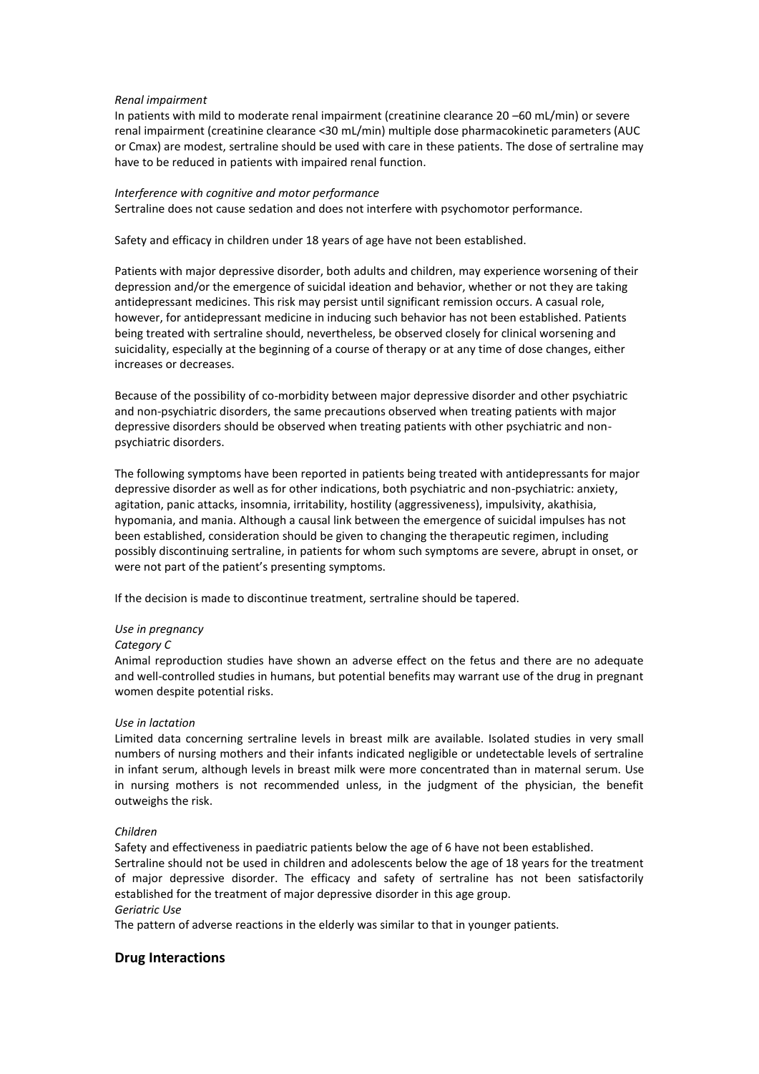#### *Renal impairment*

In patients with mild to moderate renal impairment (creatinine clearance 20 –60 mL/min) or severe renal impairment (creatinine clearance <30 mL/min) multiple dose pharmacokinetic parameters (AUC or Cmax) are modest, sertraline should be used with care in these patients. The dose of sertraline may have to be reduced in patients with impaired renal function.

#### *Interference with cognitive and motor performance*

Sertraline does not cause sedation and does not interfere with psychomotor performance.

Safety and efficacy in children under 18 years of age have not been established.

Patients with major depressive disorder, both adults and children, may experience worsening of their depression and/or the emergence of suicidal ideation and behavior, whether or not they are taking antidepressant medicines. This risk may persist until significant remission occurs. A casual role, however, for antidepressant medicine in inducing such behavior has not been established. Patients being treated with sertraline should, nevertheless, be observed closely for clinical worsening and suicidality, especially at the beginning of a course of therapy or at any time of dose changes, either increases or decreases.

Because of the possibility of co-morbidity between major depressive disorder and other psychiatric and non-psychiatric disorders, the same precautions observed when treating patients with major depressive disorders should be observed when treating patients with other psychiatric and nonpsychiatric disorders.

The following symptoms have been reported in patients being treated with antidepressants for major depressive disorder as well as for other indications, both psychiatric and non-psychiatric: anxiety, agitation, panic attacks, insomnia, irritability, hostility (aggressiveness), impulsivity, akathisia, hypomania, and mania. Although a causal link between the emergence of suicidal impulses has not been established, consideration should be given to changing the therapeutic regimen, including possibly discontinuing sertraline, in patients for whom such symptoms are severe, abrupt in onset, or were not part of the patient's presenting symptoms.

If the decision is made to discontinue treatment, sertraline should be tapered.

## *Use in pregnancy*

#### *Category C*

Animal reproduction studies have shown an adverse effect on the fetus and there are no adequate and well-controlled studies in humans, but potential benefits may warrant use of the drug in pregnant women despite potential risks.

## *Use in lactation*

Limited data concerning sertraline levels in breast milk are available. Isolated studies in very small numbers of nursing mothers and their infants indicated negligible or undetectable levels of sertraline in infant serum, although levels in breast milk were more concentrated than in maternal serum. Use in nursing mothers is not recommended unless, in the judgment of the physician, the benefit outweighs the risk.

## *Children*

Safety and effectiveness in paediatric patients below the age of 6 have not been established. Sertraline should not be used in children and adolescents below the age of 18 years for the treatment of major depressive disorder. The efficacy and safety of sertraline has not been satisfactorily established for the treatment of major depressive disorder in this age group. *Geriatric Use* 

The pattern of adverse reactions in the elderly was similar to that in younger patients.

## **Drug Interactions**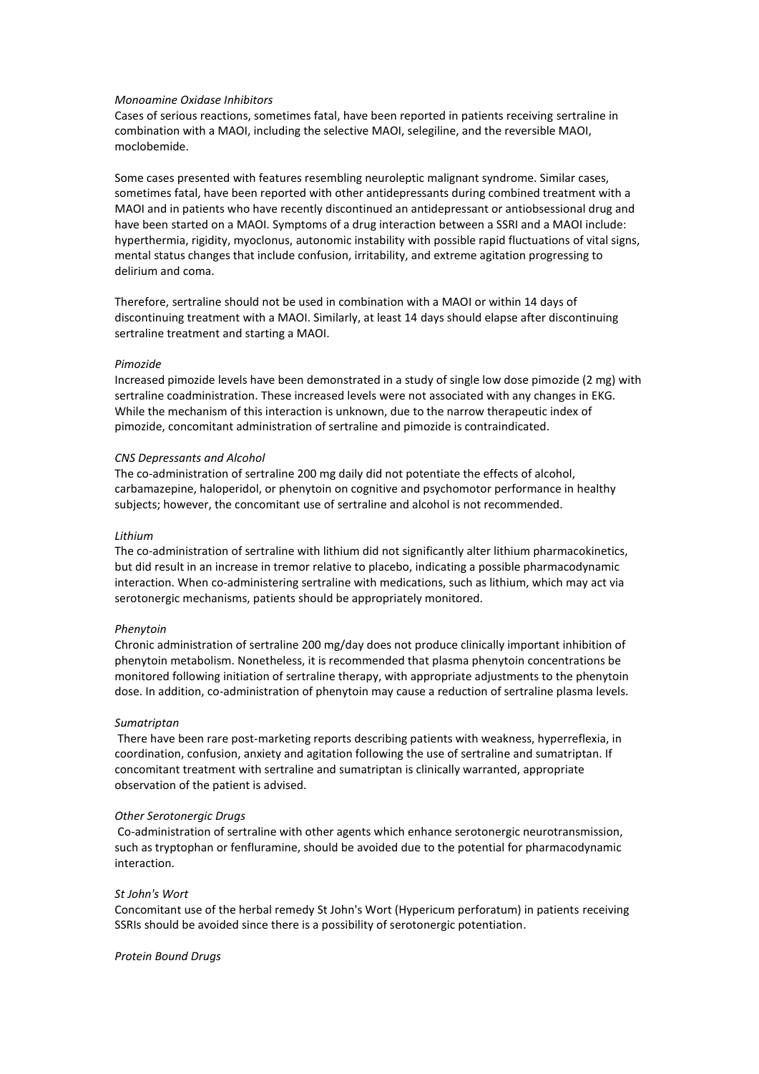#### *Monoamine Oxidase Inhibitors*

Cases of serious reactions, sometimes fatal, have been reported in patients receiving sertraline in combination with a MAOI, including the selective MAOI, selegiline, and the reversible MAOI, moclobemide.

Some cases presented with features resembling neuroleptic malignant syndrome. Similar cases, sometimes fatal, have been reported with other antidepressants during combined treatment with a MAOI and in patients who have recently discontinued an antidepressant or antiobsessional drug and have been started on a MAOI. Symptoms of a drug interaction between a SSRI and a MAOI include: hyperthermia, rigidity, myoclonus, autonomic instability with possible rapid fluctuations of vital signs, mental status changes that include confusion, irritability, and extreme agitation progressing to delirium and coma.

Therefore, sertraline should not be used in combination with a MAOI or within 14 days of discontinuing treatment with a MAOI. Similarly, at least 14 days should elapse after discontinuing sertraline treatment and starting a MAOI.

#### *Pimozide*

Increased pimozide levels have been demonstrated in a study of single low dose pimozide (2 mg) with sertraline coadministration. These increased levels were not associated with any changes in EKG. While the mechanism of this interaction is unknown, due to the narrow therapeutic index of pimozide, concomitant administration of sertraline and pimozide is contraindicated.

#### *CNS Depressants and Alcohol*

The co-administration of sertraline 200 mg daily did not potentiate the effects of alcohol, carbamazepine, haloperidol, or phenytoin on cognitive and psychomotor performance in healthy subjects; however, the concomitant use of sertraline and alcohol is not recommended.

#### *Lithium*

The co-administration of sertraline with lithium did not significantly alter lithium pharmacokinetics, but did result in an increase in tremor relative to placebo, indicating a possible pharmacodynamic interaction. When co-administering sertraline with medications, such as lithium, which may act via serotonergic mechanisms, patients should be appropriately monitored.

#### *Phenytoin*

Chronic administration of sertraline 200 mg/day does not produce clinically important inhibition of phenytoin metabolism. Nonetheless, it is recommended that plasma phenytoin concentrations be monitored following initiation of sertraline therapy, with appropriate adjustments to the phenytoin dose. In addition, co-administration of phenytoin may cause a reduction of sertraline plasma levels.

#### *Sumatriptan*

There have been rare post-marketing reports describing patients with weakness, hyperreflexia, in coordination, confusion, anxiety and agitation following the use of sertraline and sumatriptan. If concomitant treatment with sertraline and sumatriptan is clinically warranted, appropriate observation of the patient is advised.

#### *Other Serotonergic Drugs*

Co-administration of sertraline with other agents which enhance serotonergic neurotransmission, such as tryptophan or fenfluramine, should be avoided due to the potential for pharmacodynamic interaction.

#### *St John's Wort*

Concomitant use of the herbal remedy St John's Wort (Hypericum perforatum) in patients receiving SSRIs should be avoided since there is a possibility of serotonergic potentiation.

#### *Protein Bound Drugs*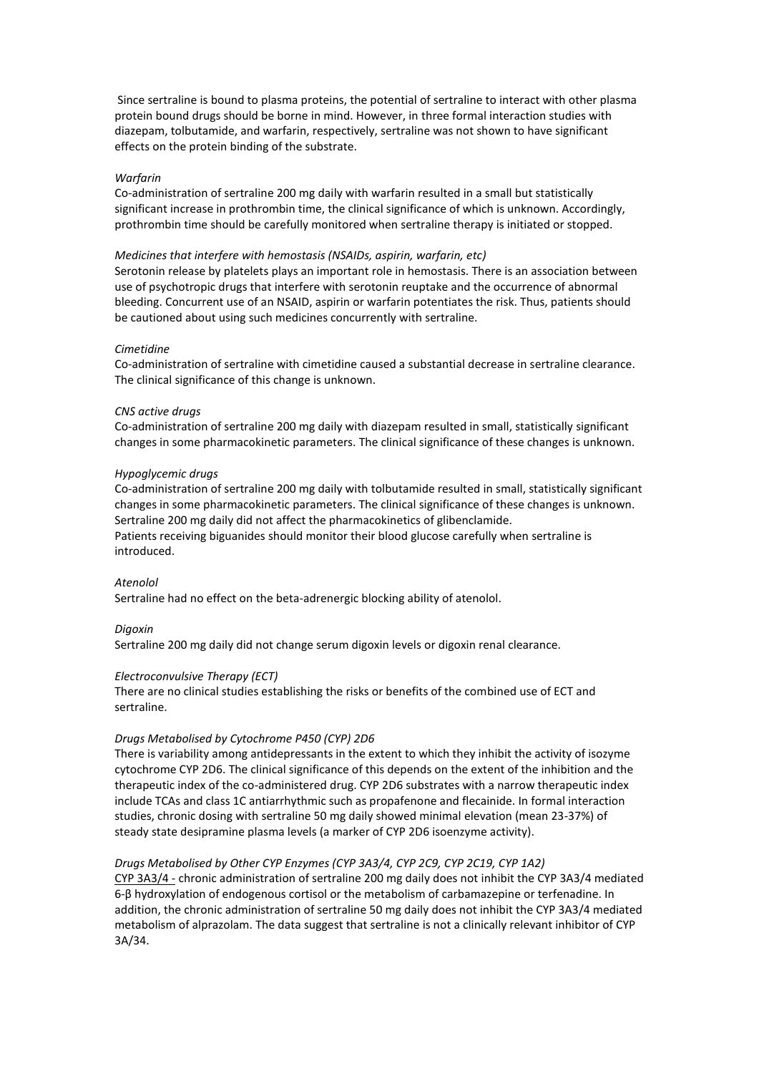Since sertraline is bound to plasma proteins, the potential of sertraline to interact with other plasma protein bound drugs should be borne in mind. However, in three formal interaction studies with diazepam, tolbutamide, and warfarin, respectively, sertraline was not shown to have significant effects on the protein binding of the substrate.

#### *Warfarin*

Co-administration of sertraline 200 mg daily with warfarin resulted in a small but statistically significant increase in prothrombin time, the clinical significance of which is unknown. Accordingly, prothrombin time should be carefully monitored when sertraline therapy is initiated or stopped.

#### *Medicines that interfere with hemostasis (NSAIDs, aspirin, warfarin, etc)*

Serotonin release by platelets plays an important role in hemostasis. There is an association between use of psychotropic drugs that interfere with serotonin reuptake and the occurrence of abnormal bleeding. Concurrent use of an NSAID, aspirin or warfarin potentiates the risk. Thus, patients should be cautioned about using such medicines concurrently with sertraline.

#### *Cimetidine*

Co-administration of sertraline with cimetidine caused a substantial decrease in sertraline clearance. The clinical significance of this change is unknown.

#### *CNS active drugs*

Co-administration of sertraline 200 mg daily with diazepam resulted in small, statistically significant changes in some pharmacokinetic parameters. The clinical significance of these changes is unknown.

#### *Hypoglycemic drugs*

Co-administration of sertraline 200 mg daily with tolbutamide resulted in small, statistically significant changes in some pharmacokinetic parameters. The clinical significance of these changes is unknown. Sertraline 200 mg daily did not affect the pharmacokinetics of glibenclamide. Patients receiving biguanides should monitor their blood glucose carefully when sertraline is introduced.

#### *Atenolol*

Sertraline had no effect on the beta-adrenergic blocking ability of atenolol.

#### *Digoxin*

Sertraline 200 mg daily did not change serum digoxin levels or digoxin renal clearance.

#### *Electroconvulsive Therapy (ECT)*

There are no clinical studies establishing the risks or benefits of the combined use of ECT and sertraline.

#### *Drugs Metabolised by Cytochrome P450 (CYP) 2D6*

There is variability among antidepressants in the extent to which they inhibit the activity of isozyme cytochrome CYP 2D6. The clinical significance of this depends on the extent of the inhibition and the therapeutic index of the co-administered drug. CYP 2D6 substrates with a narrow therapeutic index include TCAs and class 1C antiarrhythmic such as propafenone and flecainide. In formal interaction studies, chronic dosing with sertraline 50 mg daily showed minimal elevation (mean 23-37%) of steady state desipramine plasma levels (a marker of CYP 2D6 isoenzyme activity).

### *Drugs Metabolised by Other CYP Enzymes (CYP 3A3/4, CYP 2C9, CYP 2C19, CYP 1A2)*

CYP 3A3/4 - chronic administration of sertraline 200 mg daily does not inhibit the CYP 3A3/4 mediated 6-β hydroxylation of endogenous cortisol or the metabolism of carbamazepine or terfenadine. In addition, the chronic administration of sertraline 50 mg daily does not inhibit the CYP 3A3/4 mediated metabolism of alprazolam. The data suggest that sertraline is not a clinically relevant inhibitor of CYP 3A/34.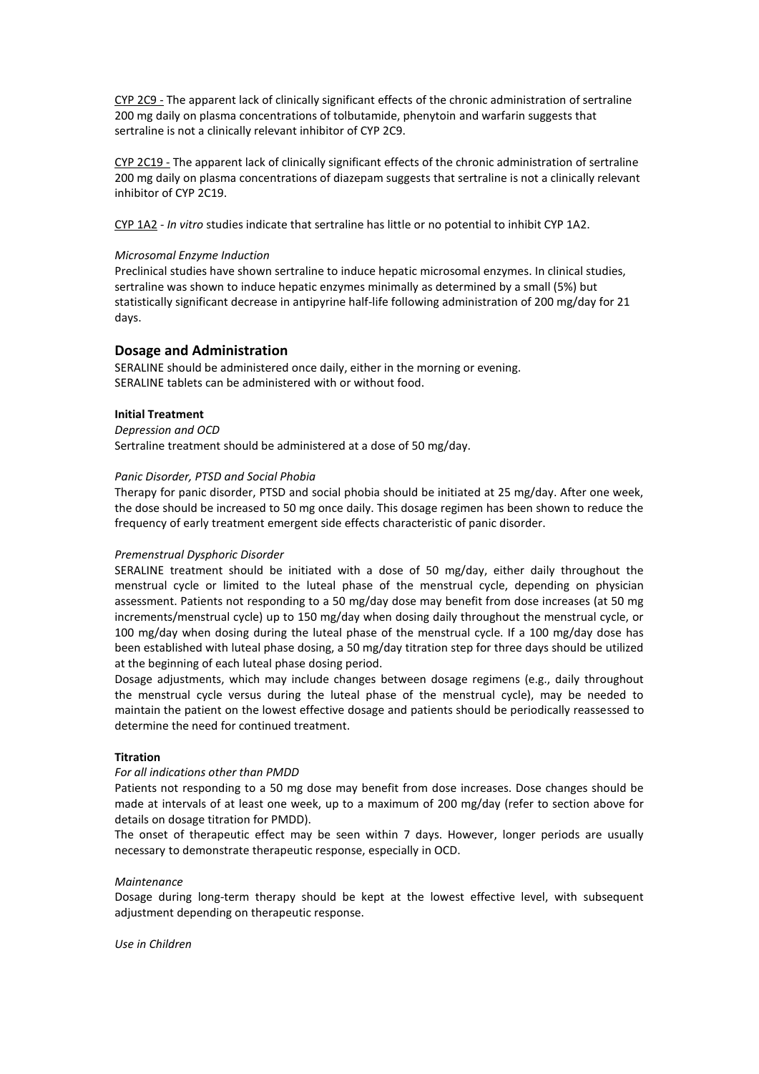CYP 2C9 - The apparent lack of clinically significant effects of the chronic administration of sertraline 200 mg daily on plasma concentrations of tolbutamide, phenytoin and warfarin suggests that sertraline is not a clinically relevant inhibitor of CYP 2C9.

CYP 2C19 - The apparent lack of clinically significant effects of the chronic administration of sertraline 200 mg daily on plasma concentrations of diazepam suggests that sertraline is not a clinically relevant inhibitor of CYP 2C19.

CYP 1A2 - *In vitro* studies indicate that sertraline has little or no potential to inhibit CYP 1A2.

#### *Microsomal Enzyme Induction*

Preclinical studies have shown sertraline to induce hepatic microsomal enzymes. In clinical studies, sertraline was shown to induce hepatic enzymes minimally as determined by a small (5%) but statistically significant decrease in antipyrine half-life following administration of 200 mg/day for 21 days.

## **Dosage and Administration**

SERALINE should be administered once daily, either in the morning or evening. SERALINE tablets can be administered with or without food.

### **Initial Treatment**

*Depression and OCD*  Sertraline treatment should be administered at a dose of 50 mg/day.

### *Panic Disorder, PTSD and Social Phobia*

Therapy for panic disorder, PTSD and social phobia should be initiated at 25 mg/day. After one week, the dose should be increased to 50 mg once daily. This dosage regimen has been shown to reduce the frequency of early treatment emergent side effects characteristic of panic disorder.

#### *Premenstrual Dysphoric Disorder*

SERALINE treatment should be initiated with a dose of 50 mg/day, either daily throughout the menstrual cycle or limited to the luteal phase of the menstrual cycle, depending on physician assessment. Patients not responding to a 50 mg/day dose may benefit from dose increases (at 50 mg increments/menstrual cycle) up to 150 mg/day when dosing daily throughout the menstrual cycle, or 100 mg/day when dosing during the luteal phase of the menstrual cycle. If a 100 mg/day dose has been established with luteal phase dosing, a 50 mg/day titration step for three days should be utilized at the beginning of each luteal phase dosing period.

Dosage adjustments, which may include changes between dosage regimens (e.g., daily throughout the menstrual cycle versus during the luteal phase of the menstrual cycle), may be needed to maintain the patient on the lowest effective dosage and patients should be periodically reassessed to determine the need for continued treatment.

## **Titration**

#### *For all indications other than PMDD*

Patients not responding to a 50 mg dose may benefit from dose increases. Dose changes should be made at intervals of at least one week, up to a maximum of 200 mg/day (refer to section above for details on dosage titration for PMDD).

The onset of therapeutic effect may be seen within 7 days. However, longer periods are usually necessary to demonstrate therapeutic response, especially in OCD.

#### *Maintenance*

Dosage during long-term therapy should be kept at the lowest effective level, with subsequent adjustment depending on therapeutic response.

*Use in Children*